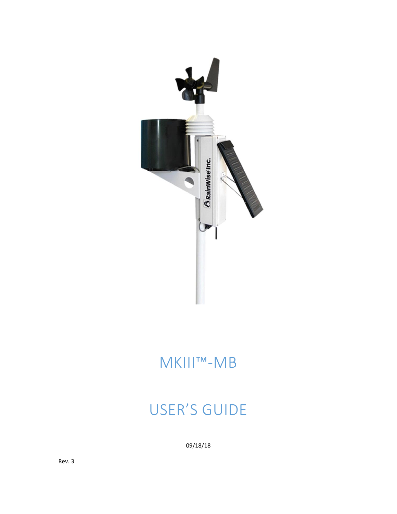

# MKIII™-MB

# USER'S GUIDE

09/18/18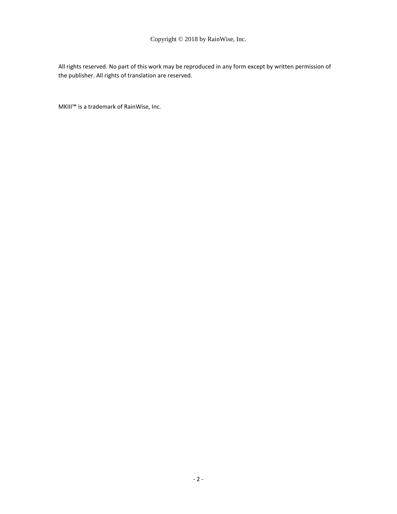## Copyright © 2018 by RainWise, Inc.

All rights reserved. No part of this work may be reproduced in any form except by written permission of the publisher. All rights of translation are reserved.

MKIII™ is a trademark of RainWise, Inc.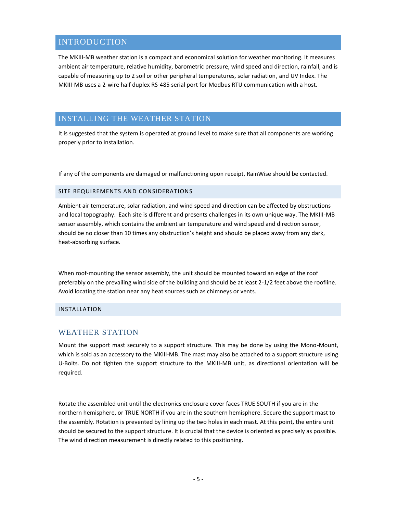# <span id="page-4-0"></span>INTRODUCTION

The MKIII-MB weather station is a compact and economical solution for weather monitoring. It measures ambient air temperature, relative humidity, barometric pressure, wind speed and direction, rainfall, and is capable of measuring up to 2 soil or other peripheral temperatures, solar radiation, and UV Index. The MKIII-MB uses a 2-wire half duplex RS-485 serial port for Modbus RTU communication with a host.

# <span id="page-4-1"></span>INSTALLING THE WEATHER STATION

It is suggested that the system is operated at ground level to make sure that all components are working properly prior to installation.

If any of the components are damaged or malfunctioning upon receipt, RainWise should be contacted.

## <span id="page-4-2"></span>SITE REQUIREMENTS AND CONSIDERATIONS

Ambient air temperature, solar radiation, and wind speed and direction can be affected by obstructions and local topography. Each site is different and presents challenges in its own unique way. The MKIII-MB sensor assembly, which contains the ambient air temperature and wind speed and direction sensor, should be no closer than 10 times any obstruction's height and should be placed away from any dark, heat-absorbing surface.

When roof-mounting the sensor assembly, the unit should be mounted toward an edge of the roof preferably on the prevailing wind side of the building and should be at least 2-1/2 feet above the roofline. Avoid locating the station near any heat sources such as chimneys or vents.

## <span id="page-4-4"></span><span id="page-4-3"></span>INSTALLATION

## WEATHER STATION

Mount the support mast securely to a support structure. This may be done by using the Mono-Mount, which is sold as an accessory to the MKIII-MB. The mast may also be attached to a support structure using U-Bolts. Do not tighten the support structure to the MKIII-MB unit, as directional orientation will be required.

Rotate the assembled unit until the electronics enclosure cover faces TRUE SOUTH if you are in the northern hemisphere, or TRUE NORTH if you are in the southern hemisphere. Secure the support mast to the assembly. Rotation is prevented by lining up the two holes in each mast. At this point, the entire unit should be secured to the support structure. It is crucial that the device is oriented as precisely as possible. The wind direction measurement is directly related to this positioning.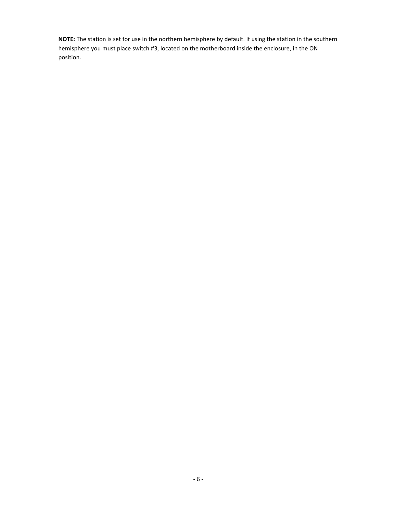**NOTE:** The station is set for use in the northern hemisphere by default. If using the station in the southern hemisphere you must place switch #3, located on the motherboard inside the enclosure, in the ON position.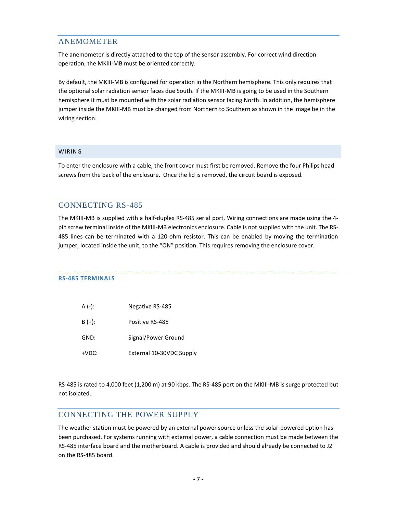## <span id="page-6-0"></span>ANEMOMETER

The anemometer is directly attached to the top of the sensor assembly. For correct wind direction operation, the MKIII-MB must be oriented correctly.

By default, the MKIII-MB is configured for operation in the Northern hemisphere. This only requires that the optional solar radiation sensor faces due South. If the MKIII-MB is going to be used in the Southern hemisphere it must be mounted with the solar radiation sensor facing North. In addition, the hemisphere jumper inside the MKIII-MB must be changed from Northern to Southern as shown in the image be in the wiring section.

## <span id="page-6-1"></span>WIRING

To enter the enclosure with a cable, the front cover must first be removed. Remove the four Philips head screws from the back of the enclosure. Once the lid is removed, the circuit board is exposed.

## <span id="page-6-2"></span>CONNECTING RS-485

The MKIII-MB is supplied with a half-duplex RS-485 serial port. Wiring connections are made using the 4 pin screw terminal inside of the MKIII-MB electronics enclosure. Cable is not supplied with the unit. The RS-485 lines can be terminated with a 120-ohm resistor. This can be enabled by moving the termination jumper, located inside the unit, to the "ON" position. This requires removing the enclosure cover.

## **RS-485 TERMINALS**

| A (-): | Negative RS-485          |
|--------|--------------------------|
| B (+): | Positive RS-485          |
| GND:   | Signal/Power Ground      |
| +VDC:  | External 10-30VDC Supply |

RS-485 is rated to 4,000 feet (1,200 m) at 90 kbps. The RS-485 port on the MKIII-MB is surge protected but not isolated.

## <span id="page-6-3"></span>CONNECTING THE POWER SUPPLY

The weather station must be powered by an external power source unless the solar-powered option has been purchased. For systems running with external power, a cable connection must be made between the RS-485 interface board and the motherboard. A cable is provided and should already be connected to J2 on the RS-485 board.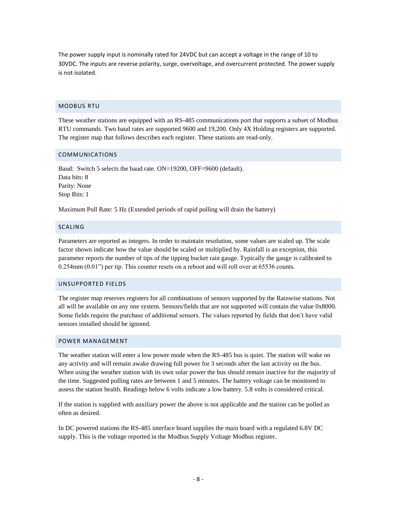The power supply input is nominally rated for 24VDC but can accept a voltage in the range of 10 to 30VDC. The inputs are reverse polarity, surge, overvoltage, and overcurrent protected. The power supply is not isolated.

#### <span id="page-7-0"></span>MODBUS RTU

These weather stations are equipped with an RS-485 communications port that supports a subset of Modbus RTU commands. Two baud rates are supported 9600 and 19,200. Only 4X Holding registers are supported. The register map that follows describes each register. These stations are read-only.

### <span id="page-7-1"></span>COMMUNICATIONS

Baud: Switch 5 selects the baud rate. ON=19200, OFF=9600 (default). Data bits: 8 Parity: None Stop Bits: 1

Maximum Poll Rate: 5 Hz (Extended periods of rapid polling will drain the battery)

## <span id="page-7-2"></span>SCALING

Parameters are reported as integers. In order to maintain resolution, some values are scaled up. The scale factor shown indicate how the value should be scaled or multiplied by. Rainfall is an exception, this parameter reports the number of tips of the tipping bucket rain gauge. Typically the gauge is calibrated to 0.254mm (0.01") per tip. This counter resets on a reboot and will roll over at 65536 counts.

#### <span id="page-7-3"></span>UNSUPPORTED FIELDS

The register map reserves registers for all combinations of sensors supported by the Rainwise stations. Not all will be available on any one system. Sensors/fields that are not supported will contain the value 0x8000. Some fields require the purchase of additional sensors. The values reported by fields that don't have valid sensors installed should be ignored.

#### <span id="page-7-4"></span>POWER MANAGEMENT

The weather station will enter a low power mode when the RS-485 bus is quiet. The station will wake on any activity and will remain awake drawing full power for 3 seconds after the last activity on the bus. When using the weather station with its own solar power the bus should remain inactive for the majority of the time. Suggested polling rates are between 1 and 5 minutes. The battery voltage can be monitored to assess the station health. Readings below 6 volts indicate a low battery. 5.8 volts is considered critical.

If the station is supplied with auxiliary power the above is not applicable and the station can be polled as often as desired.

In DC powered stations the RS-485 interface board supplies the main board with a regulated 6.8V DC supply. This is the voltage reported in the Modbus Supply Voltage Modbus register.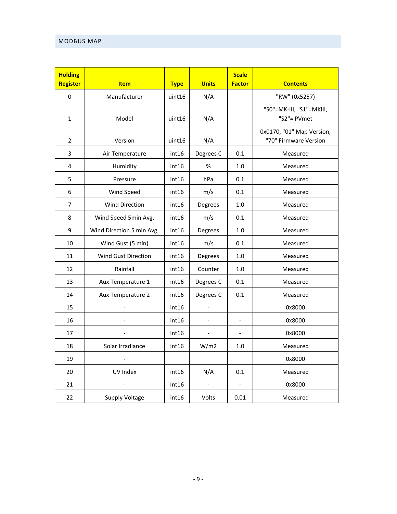## <span id="page-8-0"></span>MODBUS MAP

| <b>Holding</b><br>Register | <b>Item</b>               | <b>Type</b> | <b>Units</b>             | <b>Scale</b><br><b>Factor</b> | <b>Contents</b>                                    |
|----------------------------|---------------------------|-------------|--------------------------|-------------------------------|----------------------------------------------------|
| 0                          | Manufacturer              | uint16      | N/A                      |                               | "RW" (0x5257)                                      |
| $\mathbf{1}$               | Model                     | uint16      | N/A                      |                               | "S0"=MK-III, "S1"=MKIII,<br>"S2"= PVmet            |
| 2                          | Version                   | uint16      | N/A                      |                               | 0x0170, "01" Map Version,<br>"70" Firmware Version |
| 3                          | Air Temperature           | int16       | Degrees C                | 0.1                           | Measured                                           |
| 4                          | Humidity                  | int16       | %                        | 1.0                           | Measured                                           |
| 5                          | Pressure                  | int16       | hPa                      | 0.1                           | Measured                                           |
| 6                          | Wind Speed                | int16       | m/s                      | 0.1                           | Measured                                           |
| 7                          | <b>Wind Direction</b>     | int16       | Degrees                  | 1.0                           | Measured                                           |
| 8                          | Wind Speed 5min Avg.      | int16       | m/s                      | 0.1                           | Measured                                           |
| 9                          | Wind Direction 5 min Avg. | int16       | Degrees                  | 1.0                           | Measured                                           |
| 10                         | Wind Gust (5 min)         | int16       | m/s                      | 0.1                           | Measured                                           |
| 11                         | Wind Gust Direction       | int16       | Degrees                  | 1.0                           | Measured                                           |
| 12                         | Rainfall                  | int16       | Counter                  | 1.0                           | Measured                                           |
| 13                         | Aux Temperature 1         | int16       | Degrees C                | 0.1                           | Measured                                           |
| 14                         | Aux Temperature 2         | int16       | Degrees C                | 0.1                           | Measured                                           |
| 15                         |                           | int16       | $\blacksquare$           |                               | 0x8000                                             |
| 16                         | $\overline{a}$            | int16       | $\blacksquare$           | $\frac{1}{2}$                 | 0x8000                                             |
| 17                         | $\overline{\phantom{a}}$  | int16       | $\overline{\phantom{a}}$ | $\overline{a}$                | 0x8000                                             |
| 18                         | Solar Irradiance          | int16       | W/m2                     | 1.0                           | Measured                                           |
| 19                         |                           |             |                          |                               | 0x8000                                             |
| 20                         | UV Index                  | int16       | N/A                      | 0.1                           | Measured                                           |
| 21                         |                           | Int16       | $\bar{\phantom{a}}$      | $\overline{a}$                | 0x8000                                             |
| 22                         | <b>Supply Voltage</b>     | int16       | Volts                    | 0.01                          | Measured                                           |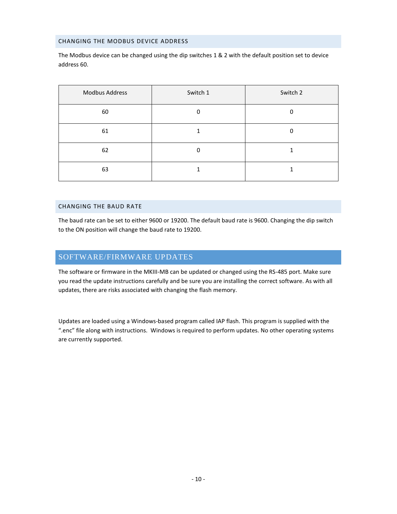## <span id="page-9-0"></span>CHANGING THE MODBUS DEVICE ADDRESS

The Modbus device can be changed using the dip switches 1 & 2 with the default position set to device address 60.

| Modbus Address | Switch 1 | Switch 2 |
|----------------|----------|----------|
| 60             | $\Omega$ | 0        |
| 61             |          | 0        |
| 62             | 0        |          |
| 63             |          |          |

## <span id="page-9-1"></span>CHANGING THE BAUD RATE

The baud rate can be set to either 9600 or 19200. The default baud rate is 9600. Changing the dip switch to the ON position will change the baud rate to 19200.

## <span id="page-9-2"></span>SOFTWARE/FIRMWARE UPDATES

The software or firmware in the MKIII-MB can be updated or changed using the RS-485 port. Make sure you read the update instructions carefully and be sure you are installing the correct software. As with all updates, there are risks associated with changing the flash memory.

Updates are loaded using a Windows-based program called IAP flash. This program is supplied with the ".enc" file along with instructions. Windows is required to perform updates. No other operating systems are currently supported.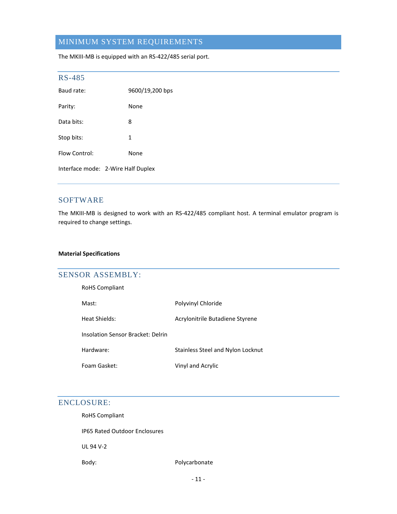# <span id="page-10-0"></span>MINIMUM SYSTEM REQUIREMENTS

The MKIII-MB is equipped with an RS-422/485 serial port.

<span id="page-10-1"></span>

| <b>RS-485</b> |                                    |  |
|---------------|------------------------------------|--|
| Baud rate:    | 9600/19,200 bps                    |  |
| Parity:       | None                               |  |
| Data bits:    | 8                                  |  |
| Stop bits:    | 1                                  |  |
| Flow Control: | None                               |  |
|               | Interface mode: 2-Wire Half Duplex |  |

## <span id="page-10-2"></span>SOFTWARE

The MKIII-MB is designed to work with an RS-422/485 compliant host. A terminal emulator program is required to change settings.

## **Material Specifications**

## <span id="page-10-3"></span>SENSOR ASSEMBLY:

RoHS Compliant

Mast: Polyvinyl Chloride

Heat Shields: Acrylonitrile Butadiene Styrene

Insolation Sensor Bracket: Delrin

Hardware: Stainless Steel and Nylon Locknut

Foam Gasket: Vinyl and Acrylic

## <span id="page-10-4"></span>ENCLOSURE:

RoHS Compliant

IP65 Rated Outdoor Enclosures

UL 94 V-2

Body: Body: Polycarbonate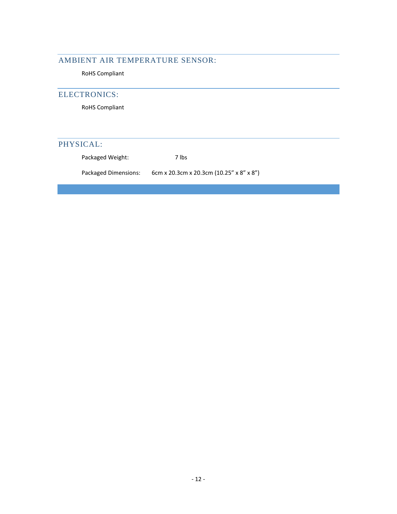# <span id="page-11-0"></span>AMBIENT AIR TEMPERATURE SENSOR:

RoHS Compliant

# <span id="page-11-1"></span>ELECTRONICS:

RoHS Compliant

# <span id="page-11-2"></span>PHYSICAL:

Packaged Weight: 7 lbs

Packaged Dimensions: 6cm x 20.3cm x 20.3cm (10.25" x 8" x 8")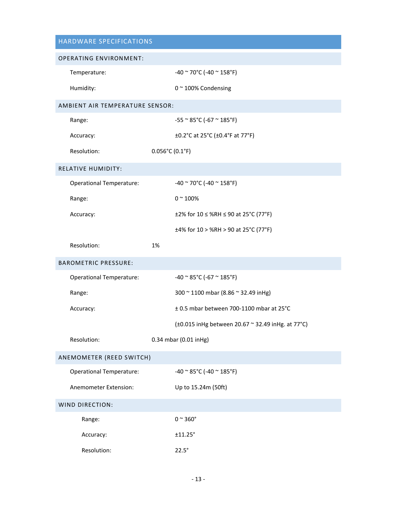<span id="page-12-6"></span><span id="page-12-5"></span><span id="page-12-4"></span><span id="page-12-3"></span><span id="page-12-2"></span><span id="page-12-1"></span><span id="page-12-0"></span>

| HARDWARE SPECIFICATIONS         |                                                     |  |  |
|---------------------------------|-----------------------------------------------------|--|--|
| <b>OPERATING ENVIRONMENT:</b>   |                                                     |  |  |
| Temperature:                    | -40 $\sim$ 70°C (-40 $\sim$ 158°F)                  |  |  |
| Humidity:                       | 0~100% Condensing                                   |  |  |
| AMBIENT AIR TEMPERATURE SENSOR: |                                                     |  |  |
| Range:                          | $-55$ ~ 85°C (-67 ~ 185°F)                          |  |  |
| Accuracy:                       | ±0.2°C at 25°C (±0.4°F at 77°F)                     |  |  |
| Resolution:                     | $0.056^{\circ}$ C (0.1°F)                           |  |  |
| <b>RELATIVE HUMIDITY:</b>       |                                                     |  |  |
| <b>Operational Temperature:</b> | $-40$ ~ 70°C (-40 ~ 158°F)                          |  |  |
| Range:                          | $0 - 100%$                                          |  |  |
| Accuracy:                       | ±2% for $10 \leq$ %RH ≤ 90 at 25°C (77°F)           |  |  |
|                                 | ±4% for $10 >$ %RH > 90 at 25°C (77°F)              |  |  |
| Resolution:                     | 1%                                                  |  |  |
| <b>BAROMETRIC PRESSURE:</b>     |                                                     |  |  |
| <b>Operational Temperature:</b> | $-40$ ~ 85°C (-67 ~ 185°F)                          |  |  |
| Range:                          | 300 ~ 1100 mbar (8.86 ~ 32.49 inHg)                 |  |  |
| Accuracy:                       | ± 0.5 mbar between 700-1100 mbar at 25°C            |  |  |
|                                 | (±0.015 in Hg between 20.67 ~ 32.49 in Hg. at 77°C) |  |  |
| Resolution:                     | 0.34 mbar (0.01 inHg)                               |  |  |
| ANEMOMETER (REED SWITCH)        |                                                     |  |  |
| <b>Operational Temperature:</b> | $-40$ ~ 85°C (-40 ~ 185°F)                          |  |  |
| Anemometer Extension:           | Up to 15.24m (50ft)                                 |  |  |
| WIND DIRECTION:                 |                                                     |  |  |
| Range:                          | $0 \sim 360^\circ$                                  |  |  |
| Accuracy:                       | ±11.25°                                             |  |  |
| Resolution:                     | $22.5^\circ$                                        |  |  |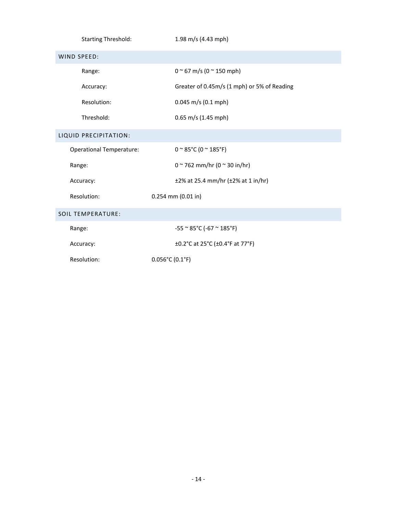<span id="page-13-2"></span><span id="page-13-1"></span><span id="page-13-0"></span>

| <b>Starting Threshold:</b>      | 1.98 m/s (4.43 mph)                                  |
|---------------------------------|------------------------------------------------------|
| <b>WIND SPEED:</b>              |                                                      |
| Range:                          | $0 \approx 67$ m/s (0 $\approx$ 150 mph)             |
| Accuracy:                       | Greater of 0.45m/s (1 mph) or 5% of Reading          |
| Resolution:                     | $0.045$ m/s (0.1 mph)                                |
| Threshold:                      | $0.65$ m/s (1.45 mph)                                |
| LIQUID PRECIPITATION:           |                                                      |
| <b>Operational Temperature:</b> | $0 \approx 85^{\circ}$ C (0 $\approx 185^{\circ}$ F) |
| Range:                          | $0 \sim 762$ mm/hr (0 $\sim$ 30 in/hr)               |
| Accuracy:                       | $±2\%$ at 25.4 mm/hr ( $±2\%$ at 1 in/hr)            |
| Resolution:                     | $0.254$ mm $(0.01$ in)                               |
| <b>SOIL TEMPERATURE:</b>        |                                                      |
| Range:                          | $-55$ ~ 85°C (-67 ~ 185°F)                           |
| Accuracy:                       | ±0.2°C at 25°C (±0.4°F at 77°F)                      |
| Resolution:                     | $0.056^{\circ}$ C (0.1°F)                            |